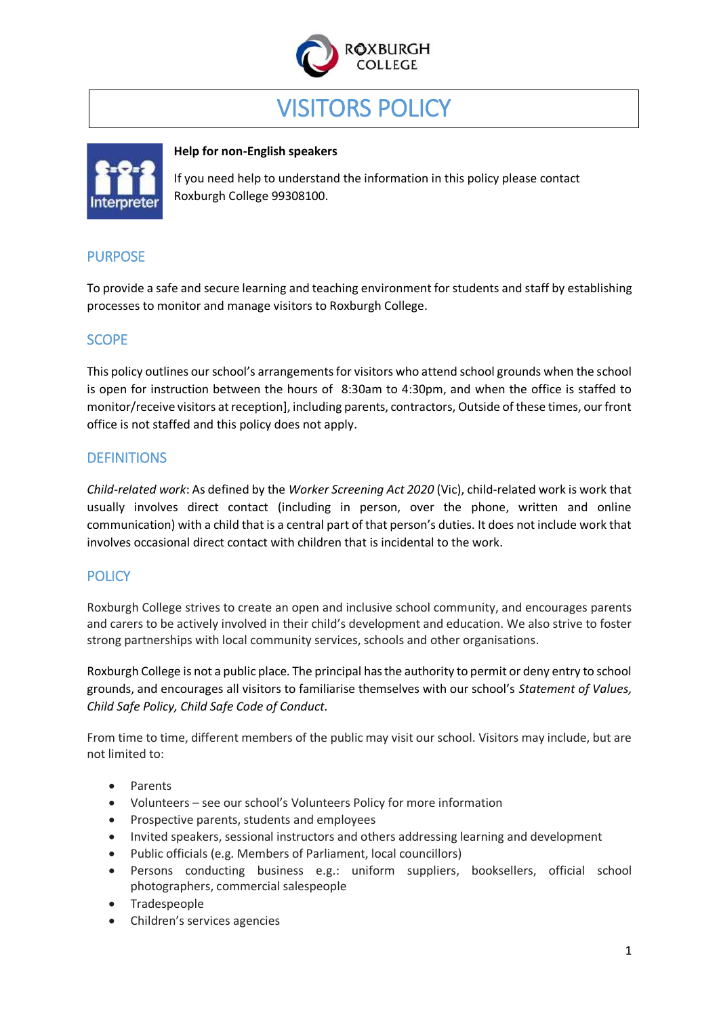

# VISITORS POLICY



#### **Help for non-English speakers**

If you need help to understand the information in this policy please contact Roxburgh College 99308100.

# PURPOSE

To provide a safe and secure learning and teaching environment for students and staff by establishing processes to monitor and manage visitors to Roxburgh College.

# **SCOPE**

This policy outlines our school's arrangements for visitors who attend school grounds when the school is open for instruction between the hours of 8:30am to 4:30pm, and when the office is staffed to monitor/receive visitors at reception], including parents, contractors, Outside of these times, our front office is not staffed and this policy does not apply.

# **DEFINITIONS**

*Child-related work*: As defined by the *Worker Screening Act 2020* (Vic), child-related work is work that usually involves direct contact (including in person, over the phone, written and online communication) with a child that is a central part of that person's duties. It does not include work that involves occasional direct contact with children that is incidental to the work.

# **POLICY**

Roxburgh College strives to create an open and inclusive school community, and encourages parents and carers to be actively involved in their child's development and education. We also strive to foster strong partnerships with local community services, schools and other organisations.

Roxburgh College is not a public place. The principal has the authority to permit or deny entry to school grounds, and encourages all visitors to familiarise themselves with our school's *Statement of Values, Child Safe Policy, Child Safe Code of Conduct.* 

From time to time, different members of the public may visit our school. Visitors may include, but are not limited to:

- Parents
- Volunteers see our school's Volunteers Policy for more information
- Prospective parents, students and employees
- Invited speakers, sessional instructors and others addressing learning and development
- Public officials (e.g. Members of Parliament, local councillors)
- Persons conducting business e.g.: uniform suppliers, booksellers, official school photographers, commercial salespeople
- Tradespeople
- Children's services agencies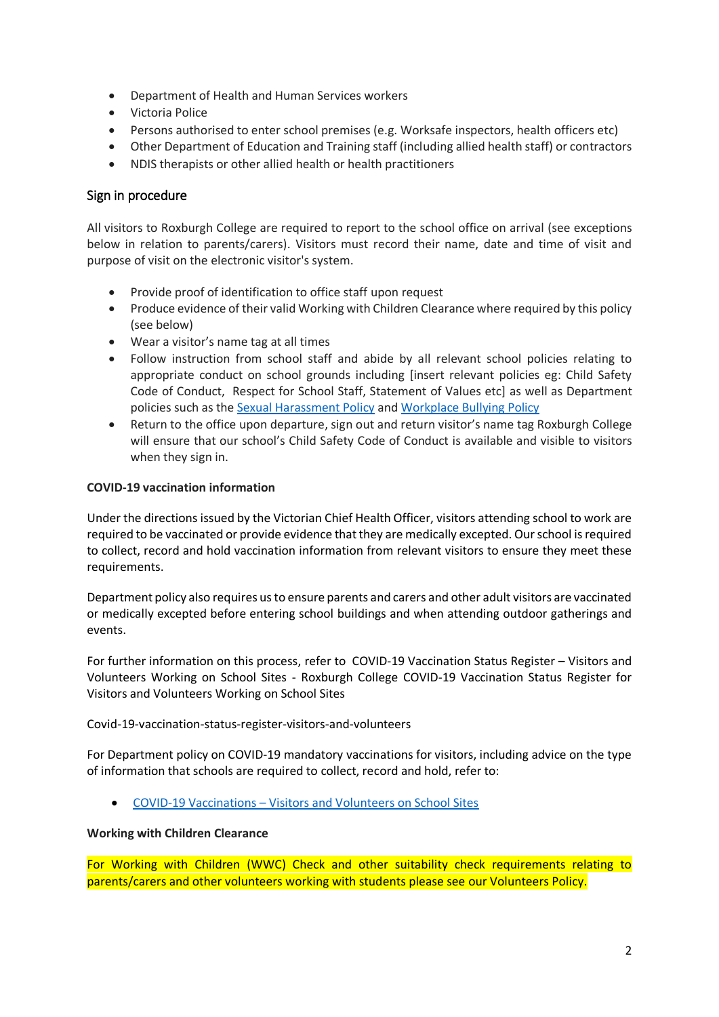- Department of Health and Human Services workers
- Victoria Police
- Persons authorised to enter school premises (e.g. Worksafe inspectors, health officers etc)
- Other Department of Education and Training staff (including allied health staff) or contractors
- NDIS therapists or other allied health or health practitioners

#### Sign in procedure

All visitors to Roxburgh College are required to report to the school office on arrival (see exceptions below in relation to parents/carers). Visitors must record their name, date and time of visit and purpose of visit on the electronic visitor's system.

- Provide proof of identification to office staff upon request
- Produce evidence of their valid Working with Children Clearance where required by this policy (see below)
- Wear a visitor's name tag at all times
- Follow instruction from school staff and abide by all relevant school policies relating to appropriate conduct on school grounds including [insert relevant policies eg: Child Safety Code of Conduct, Respect for School Staff, Statement of Values etc] as well as Department policies such as the [Sexual Harassment Policy](https://www2.education.vic.gov.au/pal/sexual-harassment/overview) and [Workplace Bullying Policy](https://www2.education.vic.gov.au/pal/workplace-bullying/policy)
- Return to the office upon departure, sign out and return visitor's name tag Roxburgh College will ensure that our school's Child Safety Code of Conduct is available and visible to visitors when they sign in.

#### **COVID-19 vaccination information**

Under the directions issued by the Victorian Chief Health Officer, visitors attending school to work are required to be vaccinated or provide evidence that they are medically excepted. Our school is required to collect, record and hold vaccination information from relevant visitors to ensure they meet these requirements.

Department policy also requires us to ensure parents and carers and other adult visitors are vaccinated or medically excepted before entering school buildings and when attending outdoor gatherings and events.

For further information on this process, refer to COVID-19 Vaccination Status Register – Visitors and Volunteers Working on School Sites - Roxburgh College COVID-19 Vaccination Status Register for Visitors and Volunteers Working on School Sites

Covid-19-vaccination-status-register-visitors-and-volunteers

For Department policy on COVID-19 mandatory vaccinations for visitors, including advice on the type of information that schools are required to collect, record and hold, refer to:

COVID-19 Vaccinations – [Visitors and Volunteers on School Sites](https://www2.education.vic.gov.au/pal/covid-19-vaccinations-visitors-volunteers/policy)

#### **Working with Children Clearance**

For Working with Children (WWC) Check and other suitability check requirements relating to parents/carers and other volunteers working with students please see our Volunteers Policy.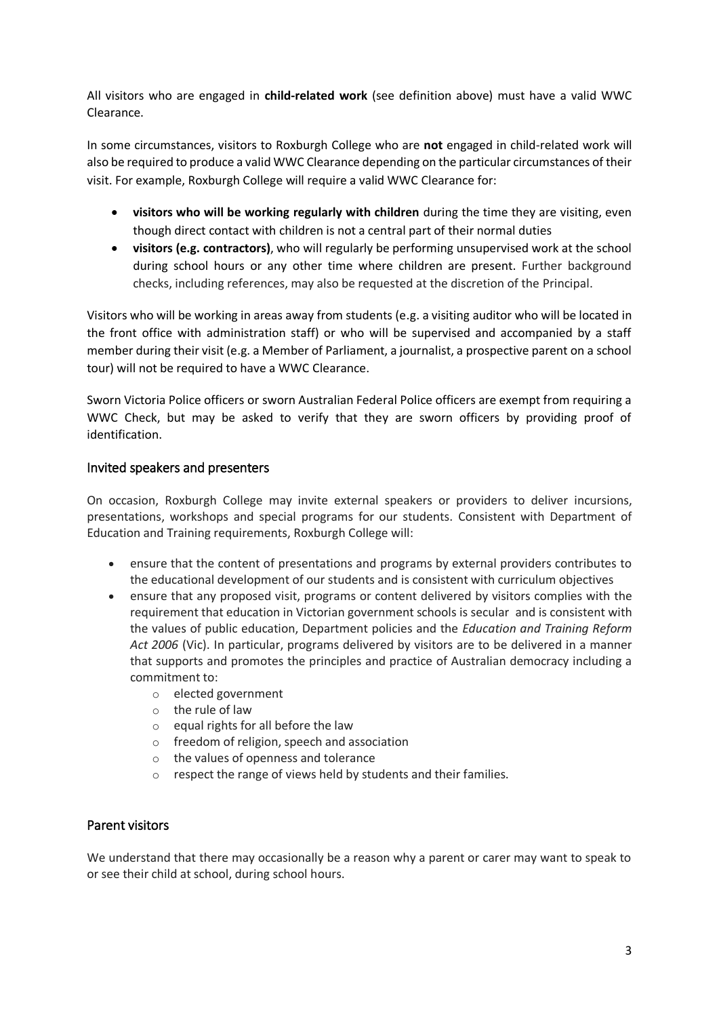All visitors who are engaged in **child-related work** (see definition above) must have a valid WWC Clearance.

In some circumstances, visitors to Roxburgh College who are **not** engaged in child-related work will also be required to produce a valid WWC Clearance depending on the particular circumstances of their visit. For example, Roxburgh College will require a valid WWC Clearance for:

- **visitors who will be working regularly with children** during the time they are visiting, even though direct contact with children is not a central part of their normal duties
- **visitors (e.g. contractors)**, who will regularly be performing unsupervised work at the school during school hours or any other time where children are present. Further background checks, including references, may also be requested at the discretion of the Principal.

Visitors who will be working in areas away from students (e.g. a visiting auditor who will be located in the front office with administration staff) or who will be supervised and accompanied by a staff member during their visit (e.g. a Member of Parliament, a journalist, a prospective parent on a school tour) will not be required to have a WWC Clearance.

Sworn Victoria Police officers or sworn Australian Federal Police officers are exempt from requiring a WWC Check, but may be asked to verify that they are sworn officers by providing proof of identification.

#### Invited speakers and presenters

On occasion, Roxburgh College may invite external speakers or providers to deliver incursions, presentations, workshops and special programs for our students. Consistent with Department of Education and Training requirements, Roxburgh College will:

- ensure that the content of presentations and programs by external providers contributes to the educational development of our students and is consistent with curriculum objectives
- ensure that any proposed visit, programs or content delivered by visitors complies with the requirement that education in Victorian government schools is secular and is consistent with the values of public education, Department policies and the *Education and Training Reform Act 2006* (Vic). In particular, programs delivered by visitors are to be delivered in a manner that supports and promotes the principles and practice of Australian democracy including a commitment to:
	- o elected government
	- o the rule of law
	- $\circ$  equal rights for all before the law
	- o freedom of religion, speech and association
	- o the values of openness and tolerance
	- o respect the range of views held by students and their families.

#### Parent visitors

We understand that there may occasionally be a reason why a parent or carer may want to speak to or see their child at school, during school hours.